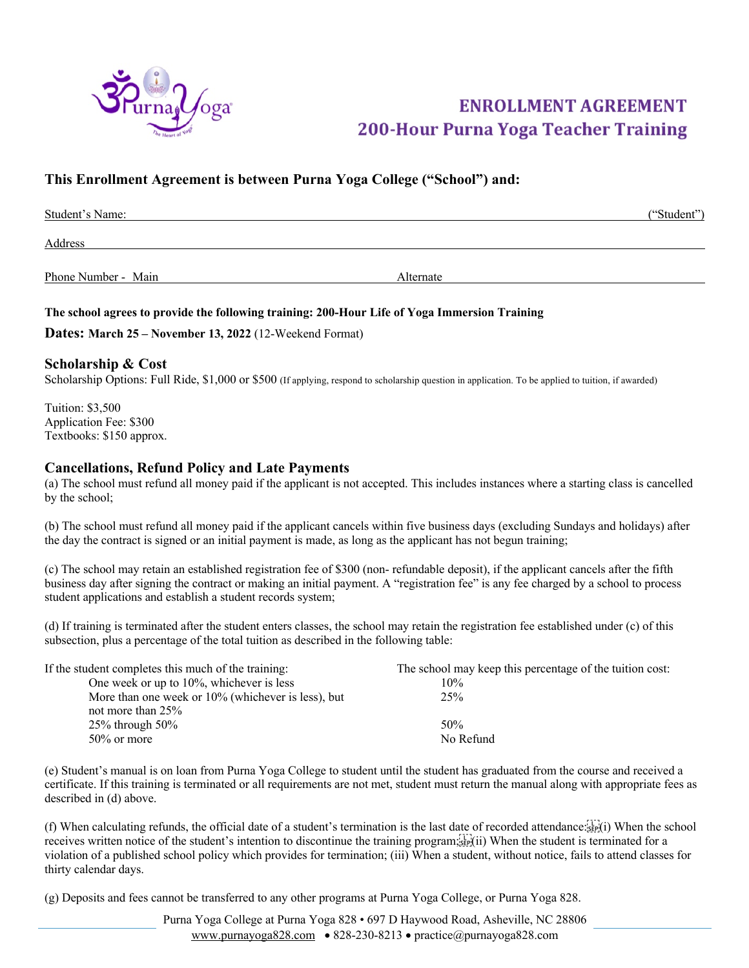

# **ENROLLMENT AGREEMENT 200-Hour Purna Yoga Teacher Training**

## **This Enrollment Agreement is between Purna Yoga College ("School") and:**

| Student's Name:     |           | ("Student") |
|---------------------|-----------|-------------|
| Address             |           |             |
| Phone Number - Main | Alternate |             |

#### **The school agrees to provide the following training: 200-Hour Life of Yoga Immersion Training**

**Dates: March 25 – November 13, 2022** (12-Weekend Format)

#### **Scholarship & Cost**

Scholarship Options: Full Ride, \$1,000 or \$500 (If applying, respond to scholarship question in application. To be applied to tuition, if awarded)

Tuition: \$3,500 Application Fee: \$300 Textbooks: \$150 approx.

#### **Cancellations, Refund Policy and Late Payments**

(a) The school must refund all money paid if the applicant is not accepted. This includes instances where a starting class is cancelled by the school;

(b) The school must refund all money paid if the applicant cancels within five business days (excluding Sundays and holidays) after the day the contract is signed or an initial payment is made, as long as the applicant has not begun training;

(c) The school may retain an established registration fee of \$300 (non- refundable deposit), if the applicant cancels after the fifth business day after signing the contract or making an initial payment. A "registration fee" is any fee charged by a school to process student applications and establish a student records system;

(d) If training is terminated after the student enters classes, the school may retain the registration fee established under (c) of this subsection, plus a percentage of the total tuition as described in the following table:

| If the student completes this much of the training: | The school may keep this percentage of the tuition cost: |
|-----------------------------------------------------|----------------------------------------------------------|
| One week or up to $10\%$ , whichever is less        | 10%                                                      |
| More than one week or 10% (whichever is less), but  | 25%                                                      |
| not more than $25%$                                 |                                                          |
| 25% through $50\%$                                  | 50%                                                      |
| $50\%$ or more                                      | No Refund                                                |

(e) Student's manual is on loan from Purna Yoga College to student until the student has graduated from the course and received a certificate. If this training is terminated or all requirements are not met, student must return the manual along with appropriate fees as described in (d) above.

(f) When calculating refunds, the official date of a student's termination is the last date of recorded attendance: $\frac{1}{25}$ (i) When the school receives written notice of the student's intention to discontinue the training program;<br>
receives written notice of the student's intention to discontinue the training program;<br>
step(ii) When the student is terminated for violation of a published school policy which provides for termination; (iii) When a student, without notice, fails to attend classes for thirty calendar days.

(g) Deposits and fees cannot be transferred to any other programs at Purna Yoga College, or Purna Yoga 828.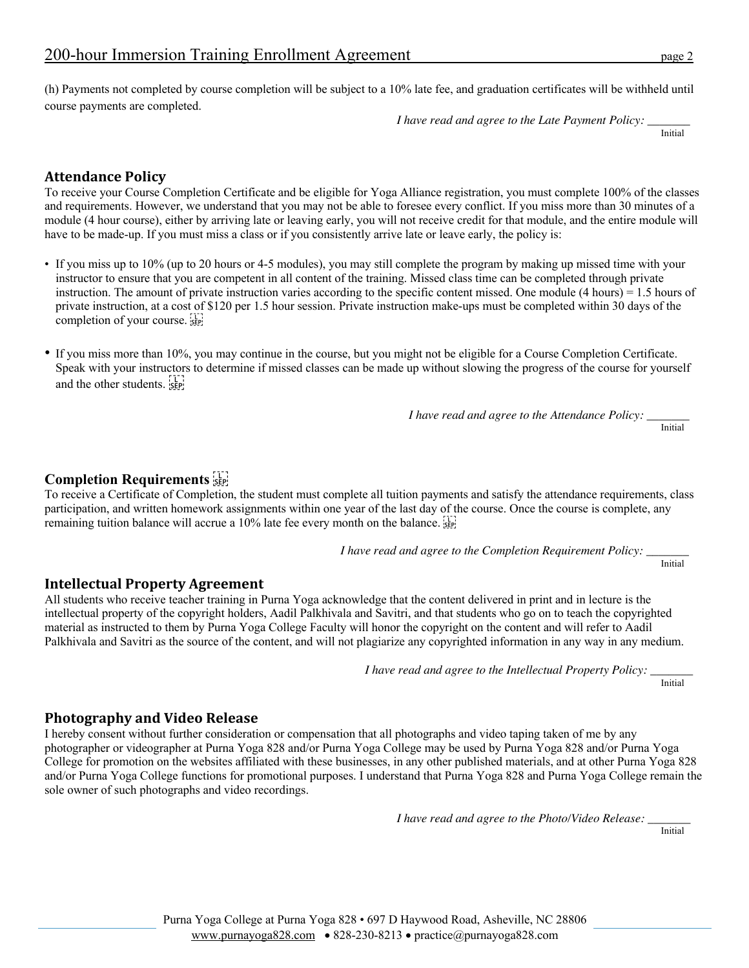(h) Payments not completed by course completion will be subject to a 10% late fee, and graduation certificates will be withheld until course payments are completed.

*I have read and agree to the Late Payment Policy: \_\_\_\_\_\_\_*

Initial

## **Attendance Policy**

To receive your Course Completion Certificate and be eligible for Yoga Alliance registration, you must complete 100% of the classes and requirements. However, we understand that you may not be able to foresee every conflict. If you miss more than 30 minutes of a module (4 hour course), either by arriving late or leaving early, you will not receive credit for that module, and the entire module will have to be made-up. If you must miss a class or if you consistently arrive late or leave early, the policy is:

- If you miss up to 10% (up to 20 hours or 4-5 modules), you may still complete the program by making up missed time with your instructor to ensure that you are competent in all content of the training. Missed class time can be completed through private instruction. The amount of private instruction varies according to the specific content missed. One module (4 hours) = 1.5 hours of private instruction, at a cost of \$120 per 1.5 hour session. Private instruction make-ups must be completed within 30 days of the completion of your course.
- If you miss more than 10%, you may continue in the course, but you might not be eligible for a Course Completion Certificate. Speak with your instructors to determine if missed classes can be made up without slowing the progress of the course for yourself and the other students. see

*I have read and agree to the Attendance Policy: \_\_\_\_\_\_\_*

Initial

## **Completion Requirements**

To receive a Certificate of Completion, the student must complete all tuition payments and satisfy the attendance requirements, class participation, and written homework assignments within one year of the last day of the course. Once the course is complete, any remaining tuition balance will accrue a 10% late fee every month on the balance.

*I have read and agree to the Completion Requirement Policy: \_\_\_\_\_\_\_*

Initial

### **Intellectual Property Agreement**

All students who receive teacher training in Purna Yoga acknowledge that the content delivered in print and in lecture is the intellectual property of the copyright holders, Aadil Palkhivala and Savitri, and that students who go on to teach the copyrighted material as instructed to them by Purna Yoga College Faculty will honor the copyright on the content and will refer to Aadil Palkhivala and Savitri as the source of the content, and will not plagiarize any copyrighted information in any way in any medium.

 *I have read and agree to the Intellectual Property Policy: \_\_\_\_\_\_\_*Initial

### **Photography and Video Release**

I hereby consent without further consideration or compensation that all photographs and video taping taken of me by any photographer or videographer at Purna Yoga 828 and/or Purna Yoga College may be used by Purna Yoga 828 and/or Purna Yoga College for promotion on the websites affiliated with these businesses, in any other published materials, and at other Purna Yoga 828 and/or Purna Yoga College functions for promotional purposes. I understand that Purna Yoga 828 and Purna Yoga College remain the sole owner of such photographs and video recordings.

*I have read and agree to the Photo/Video Release: \_\_\_\_\_\_\_*

Initial